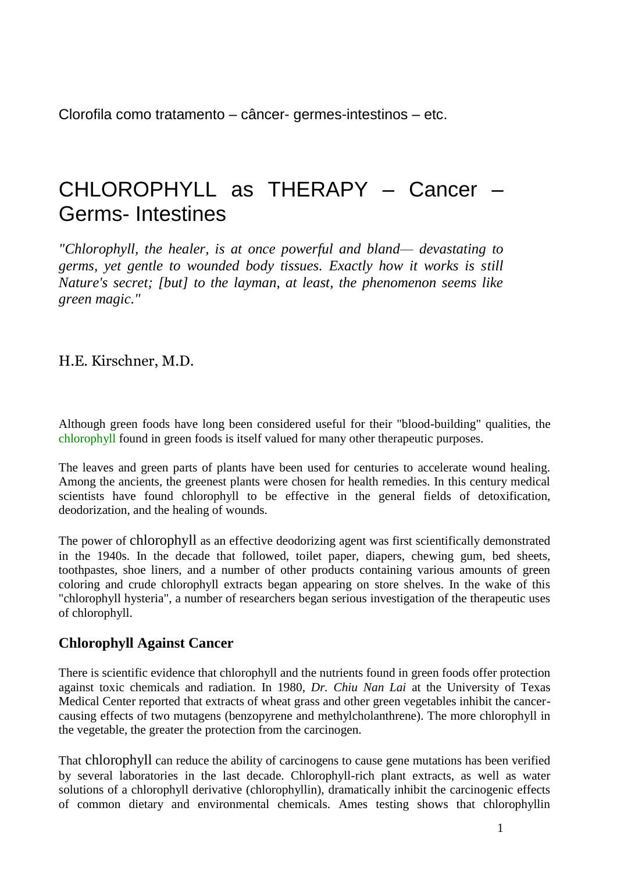Clorofila como tratamento – câncer- germes-intestinos – etc.

# CHLOROPHYLL as THERAPY – Cancer – Germs- Intestines

*"Chlorophyll, the healer, is at once powerful and bland— devastating to germs, yet gentle to wounded body tissues. Exactly how it works is still Nature's secret; [but] to the layman, at least, the phenomenon seems like green magic."*

## H.E. Kirschner, M.D.

Although green foods have long been considered useful for their "blood-building" qualities, the chlorophyll found in green foods is itself valued for many other therapeutic purposes.

The leaves and green parts of plants have been used for centuries to accelerate wound healing. Among the ancients, the greenest plants were chosen for health remedies. In this century medical scientists have found chlorophyll to be effective in the general fields of detoxification, deodorization, and the healing of wounds.

The power of chlorophyll as an effective deodorizing agent was first scientifically demonstrated in the 1940s. In the decade that followed, toilet paper, diapers, chewing gum, bed sheets, toothpastes, shoe liners, and a number of other products containing various amounts of green coloring and crude chlorophyll extracts began appearing on store shelves. In the wake of this "chlorophyll hysteria", a number of researchers began serious investigation of the therapeutic uses of chlorophyll.

#### **Chlorophyll Against Cancer**

There is scientific evidence that chlorophyll and the nutrients found in green foods offer protection against toxic chemicals and radiation. In 1980, *Dr. Chiu Nan Lai* at the University of Texas Medical Center reported that extracts of wheat grass and other green vegetables inhibit the cancercausing effects of two mutagens (benzopyrene and methylcholanthrene). The more chlorophyll in the vegetable, the greater the protection from the carcinogen.

That chlorophyll can reduce the ability of carcinogens to cause gene mutations has been verified by several laboratories in the last decade. Chlorophyll-rich plant extracts, as well as water solutions of a chlorophyll derivative (chlorophyllin), dramatically inhibit the carcinogenic effects of common dietary and environmental chemicals. Ames testing shows that chlorophyllin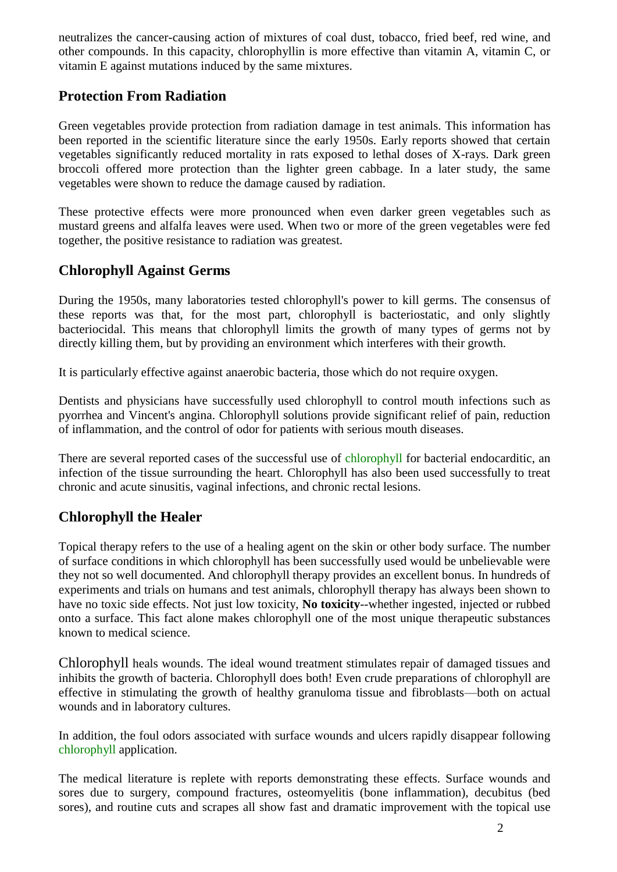neutralizes the cancer-causing action of mixtures of coal dust, tobacco, fried beef, red wine, and other compounds. In this capacity, chlorophyllin is more effective than vitamin A, vitamin C, or vitamin E against mutations induced by the same mixtures.

## **Protection From Radiation**

Green vegetables provide protection from radiation damage in test animals. This information has been reported in the scientific literature since the early 1950s. Early reports showed that certain vegetables significantly reduced mortality in rats exposed to lethal doses of X-rays. Dark green broccoli offered more protection than the lighter green cabbage. In a later study, the same vegetables were shown to reduce the damage caused by radiation.

These protective effects were more pronounced when even darker green vegetables such as mustard greens and alfalfa leaves were used. When two or more of the green vegetables were fed together, the positive resistance to radiation was greatest.

## **Chlorophyll Against Germs**

During the 1950s, many laboratories tested chlorophyll's power to kill germs. The consensus of these reports was that, for the most part, chlorophyll is bacteriostatic, and only slightly bacteriocidal. This means that chlorophyll limits the growth of many types of germs not by directly killing them, but by providing an environment which interferes with their growth.

It is particularly effective against anaerobic bacteria, those which do not require oxygen.

Dentists and physicians have successfully used chlorophyll to control mouth infections such as pyorrhea and Vincent's angina. Chlorophyll solutions provide significant relief of pain, reduction of inflammation, and the control of odor for patients with serious mouth diseases.

There are several reported cases of the successful use of chlorophyll for bacterial endocarditic, an infection of the tissue surrounding the heart. Chlorophyll has also been used successfully to treat chronic and acute sinusitis, vaginal infections, and chronic rectal lesions.

## **Chlorophyll the Healer**

Topical therapy refers to the use of a healing agent on the skin or other body surface. The number of surface conditions in which chlorophyll has been successfully used would be unbelievable were they not so well documented. And chlorophyll therapy provides an excellent bonus. In hundreds of experiments and trials on humans and test animals, chlorophyll therapy has always been shown to have no toxic side effects. Not just low toxicity, **No toxicity**--whether ingested, injected or rubbed onto a surface. This fact alone makes chlorophyll one of the most unique therapeutic substances known to medical science.

Chlorophyll heals wounds. The ideal wound treatment stimulates repair of damaged tissues and inhibits the growth of bacteria. Chlorophyll does both! Even crude preparations of chlorophyll are effective in stimulating the growth of healthy granuloma tissue and fibroblasts—both on actual wounds and in laboratory cultures.

In addition, the foul odors associated with surface wounds and ulcers rapidly disappear following chlorophyll application.

The medical literature is replete with reports demonstrating these effects. Surface wounds and sores due to surgery, compound fractures, osteomyelitis (bone inflammation), decubitus (bed sores), and routine cuts and scrapes all show fast and dramatic improvement with the topical use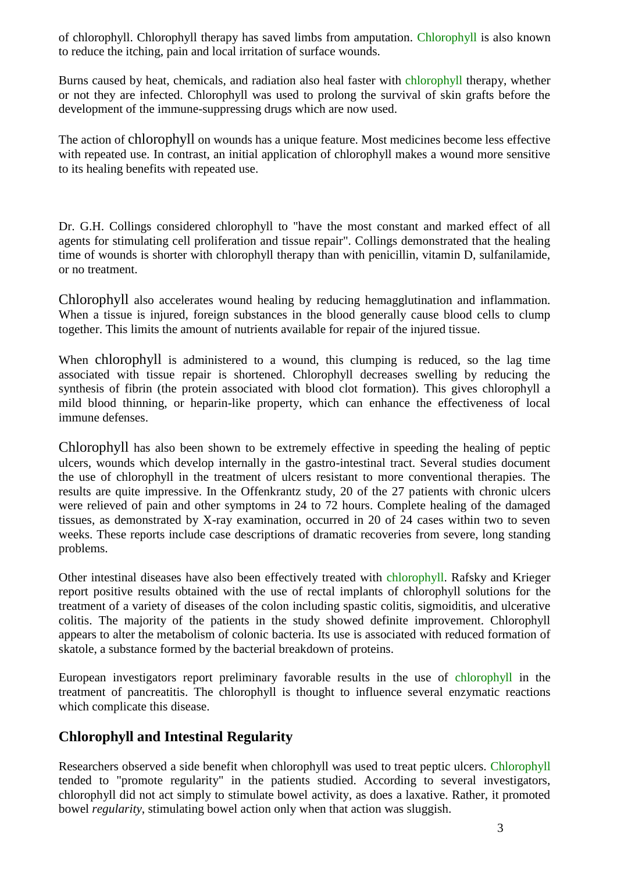of chlorophyll. Chlorophyll therapy has saved limbs from amputation. Chlorophyll is also known to reduce the itching, pain and local irritation of surface wounds.

Burns caused by heat, chemicals, and radiation also heal faster with chlorophyll therapy, whether or not they are infected. Chlorophyll was used to prolong the survival of skin grafts before the development of the immune-suppressing drugs which are now used.

The action of chlorophyll on wounds has a unique feature. Most medicines become less effective with repeated use. In contrast, an initial application of chlorophyll makes a wound more sensitive to its healing benefits with repeated use.

Dr. G.H. Collings considered chlorophyll to "have the most constant and marked effect of all agents for stimulating cell proliferation and tissue repair". Collings demonstrated that the healing time of wounds is shorter with chlorophyll therapy than with penicillin, vitamin D, sulfanilamide, or no treatment.

Chlorophyll also accelerates wound healing by reducing hemagglutination and inflammation. When a tissue is injured, foreign substances in the blood generally cause blood cells to clump together. This limits the amount of nutrients available for repair of the injured tissue.

When chlorophyll is administered to a wound, this clumping is reduced, so the lag time associated with tissue repair is shortened. Chlorophyll decreases swelling by reducing the synthesis of fibrin (the protein associated with blood clot formation). This gives chlorophyll a mild blood thinning, or heparin-like property, which can enhance the effectiveness of local immune defenses.

Chlorophyll has also been shown to be extremely effective in speeding the healing of peptic ulcers, wounds which develop internally in the gastro-intestinal tract. Several studies document the use of chlorophyll in the treatment of ulcers resistant to more conventional therapies. The results are quite impressive. In the Offenkrantz study, 20 of the 27 patients with chronic ulcers were relieved of pain and other symptoms in 24 to 72 hours. Complete healing of the damaged tissues, as demonstrated by X-ray examination, occurred in 20 of 24 cases within two to seven weeks. These reports include case descriptions of dramatic recoveries from severe, long standing problems.

Other intestinal diseases have also been effectively treated with chlorophyll. Rafsky and Krieger report positive results obtained with the use of rectal implants of chlorophyll solutions for the treatment of a variety of diseases of the colon including spastic colitis, sigmoiditis, and ulcerative colitis. The majority of the patients in the study showed definite improvement. Chlorophyll appears to alter the metabolism of colonic bacteria. Its use is associated with reduced formation of skatole, a substance formed by the bacterial breakdown of proteins.

European investigators report preliminary favorable results in the use of chlorophyll in the treatment of pancreatitis. The chlorophyll is thought to influence several enzymatic reactions which complicate this disease.

## **Chlorophyll and Intestinal Regularity**

Researchers observed a side benefit when chlorophyll was used to treat peptic ulcers. Chlorophyll tended to "promote regularity" in the patients studied. According to several investigators, chlorophyll did not act simply to stimulate bowel activity, as does a laxative. Rather, it promoted bowel *regularity*, stimulating bowel action only when that action was sluggish.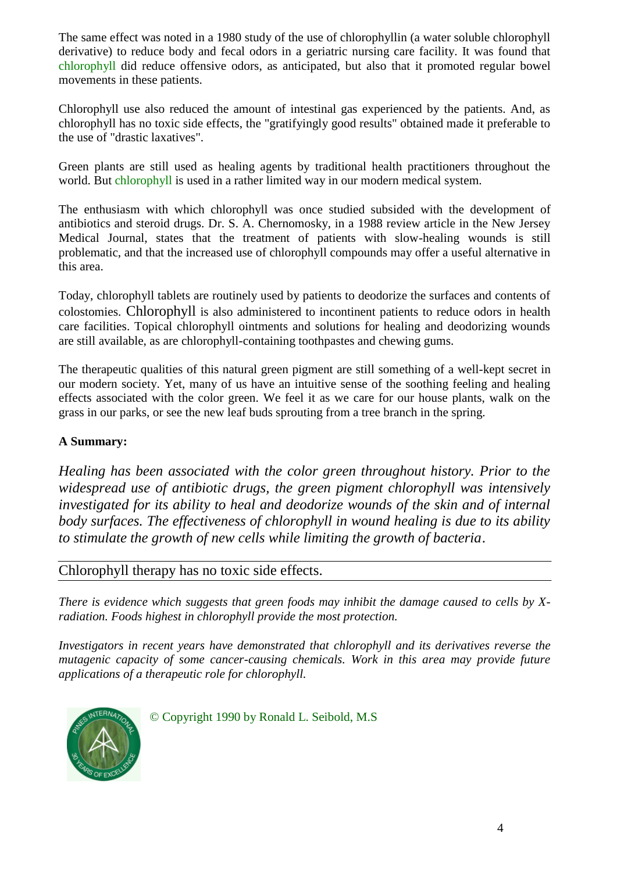The same effect was noted in a 1980 study of the use of chlorophyllin (a water soluble chlorophyll derivative) to reduce body and fecal odors in a geriatric nursing care facility. It was found that chlorophyll did reduce offensive odors, as anticipated, but also that it promoted regular bowel movements in these patients.

Chlorophyll use also reduced the amount of intestinal gas experienced by the patients. And, as chlorophyll has no toxic side effects, the "gratifyingly good results" obtained made it preferable to the use of "drastic laxatives".

Green plants are still used as healing agents by traditional health practitioners throughout the world. But chlorophyll is used in a rather limited way in our modern medical system.

The enthusiasm with which chlorophyll was once studied subsided with the development of antibiotics and steroid drugs. Dr. S. A. Chernomosky, in a 1988 review article in the New Jersey Medical Journal, states that the treatment of patients with slow-healing wounds is still problematic, and that the increased use of chlorophyll compounds may offer a useful alternative in this area.

Today, chlorophyll tablets are routinely used by patients to deodorize the surfaces and contents of colostomies. Chlorophyll is also administered to incontinent patients to reduce odors in health care facilities. Topical chlorophyll ointments and solutions for healing and deodorizing wounds are still available, as are chlorophyll-containing toothpastes and chewing gums.

The therapeutic qualities of this natural green pigment are still something of a well-kept secret in our modern society. Yet, many of us have an intuitive sense of the soothing feeling and healing effects associated with the color green. We feel it as we care for our house plants, walk on the grass in our parks, or see the new leaf buds sprouting from a tree branch in the spring.

#### **A Summary:**

*Healing has been associated with the color green throughout history. Prior to the widespread use of antibiotic drugs, the green pigment chlorophyll was intensively investigated for its ability to heal and deodorize wounds of the skin and of internal body surfaces. The effectiveness of chlorophyll in wound healing is due to its ability to stimulate the growth of new cells while limiting the growth of bacteria*.

#### Chlorophyll therapy has no toxic side effects.

*There is evidence which suggests that green foods may inhibit the damage caused to cells by Xradiation. Foods highest in chlorophyll provide the most protection.*

*Investigators in recent years have demonstrated that chlorophyll and its derivatives reverse the mutagenic capacity of some cancer-causing chemicals. Work in this area may provide future applications of a therapeutic role for chlorophyll.* 



[© Copyright 1990 by Ronald L. Seibold, M.S](http://www.wheatgrass.com/copyright.php)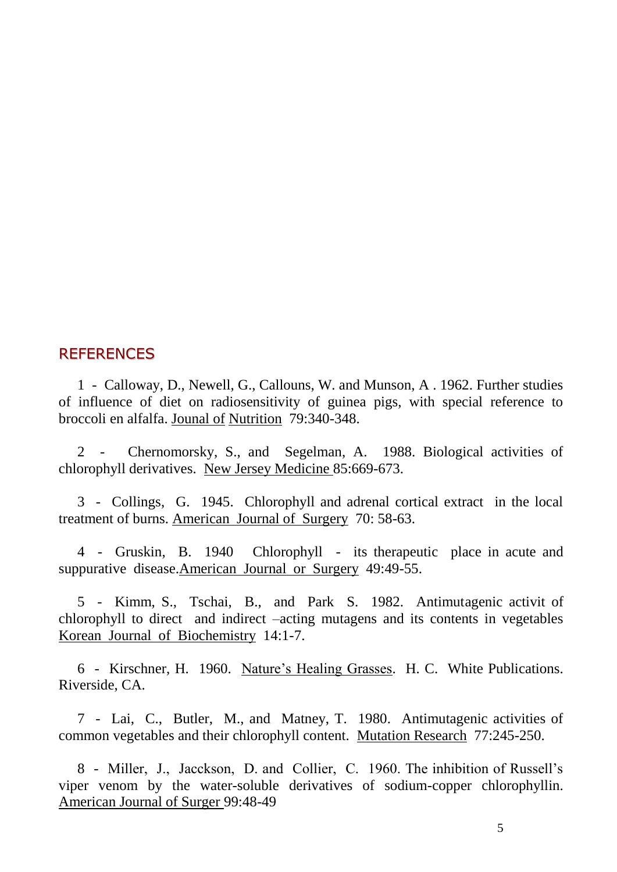### **REFERENCES**

1 - Calloway, D., Newell, G., Callouns, W. and Munson, A . 1962. Further studies of influence of diet on radiosensitivity of guinea pigs, with special reference to broccoli en alfalfa. Jounal of Nutrition 79:340-348.

2 - Chernomorsky, S., and Segelman, A. 1988. Biological activities of chlorophyll derivatives. New Jersey Medicine 85:669-673.

3 - Collings, G. 1945. Chlorophyll and adrenal cortical extract in the local treatment of burns. American Journal of Surgery 70: 58-63.

4 - Gruskin, B. 1940 Chlorophyll - its therapeutic place in acute and suppurative disease.American Journal or Surgery 49:49-55.

5 - Kimm, S., Tschai, B., and Park S. 1982. Antimutagenic activit of chlorophyll to direct and indirect –acting mutagens and its contents in vegetables Korean Journal of Biochemistry 14:1-7.

6 - Kirschner, H. 1960. Nature's Healing Grasses. H. C. White Publications. Riverside, CA.

7 - Lai, C., Butler, M., and Matney, T. 1980. Antimutagenic activities of common vegetables and their chlorophyll content. Mutation Research 77:245-250.

8 - Miller, J., Jacckson, D. and Collier, C. 1960. The inhibition of Russell's viper venom by the water-soluble derivatives of sodium-copper chlorophyllin. American Journal of Surger 99:48-49